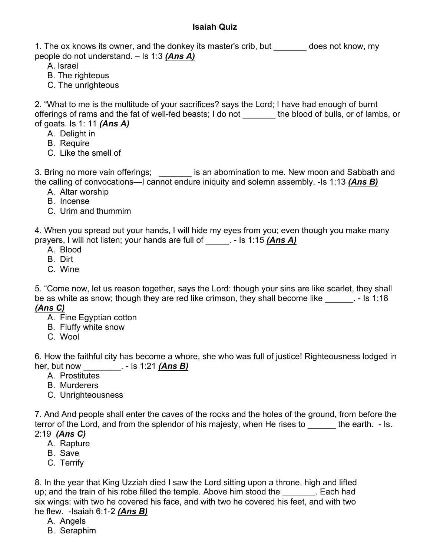## **Isaiah Quiz**

1. The ox knows its owner, and the donkey its master's crib, but does not know, my people do not understand. – Is 1:3 *(Ans A)*

A. Israel

- B. The righteous
- C. The unrighteous

2. "What to me is the multitude of your sacrifices? says the Lord; I have had enough of burnt offerings of rams and the fat of well-fed beasts; I do not \_\_\_\_\_\_\_ the blood of bulls, or of lambs, or of goats. Is 1: 11 *(Ans A)*

- A. Delight in
- B. Require
- C. Like the smell of

3. Bring no more vain offerings; \_\_\_\_\_\_\_ is an abomination to me. New moon and Sabbath and the calling of convocations—I cannot endure iniquity and solemn assembly. -Is 1:13 *(Ans B)*

- A. Altar worship
- B. Incense
- C. Urim and thummim

4. When you spread out your hands, I will hide my eyes from you; even though you make many prayers, I will not listen; your hands are full of \_\_\_\_\_. - Is 1:15 *(Ans A)*

- A. Blood
- B. Dirt
- C. Wine

5. "Come now, let us reason together, says the Lord: though your sins are like scarlet, they shall be as white as snow; though they are red like crimson, they shall become like  $\qquad \qquad$ . - Is 1:18 *(Ans C)*

- A. Fine Egyptian cotton
- B. Fluffy white snow
- C. Wool

6. How the faithful city has become a whore, she who was full of justice! Righteousness lodged in her, but now \_\_\_\_\_\_\_\_. - Is 1:21 *(Ans B)*

- A. Prostitutes
- B. Murderers
- C. Unrighteousness

7. And And people shall enter the caves of the rocks and the holes of the ground, from before the terror of the Lord, and from the splendor of his majesty, when He rises to \_\_\_\_\_\_ the earth. - Is. 2:19 *(Ans C)*

- A. Rapture
- B. Save
- C. Terrify

8. In the year that King Uzziah died I saw the Lord sitting upon a throne, high and lifted up; and the train of his robe filled the temple. Above him stood the Each had six wings: with two he covered his face, and with two he covered his feet, and with two he flew. -Isaiah 6:1-2 *(Ans B)*

- A. Angels
- B. Seraphim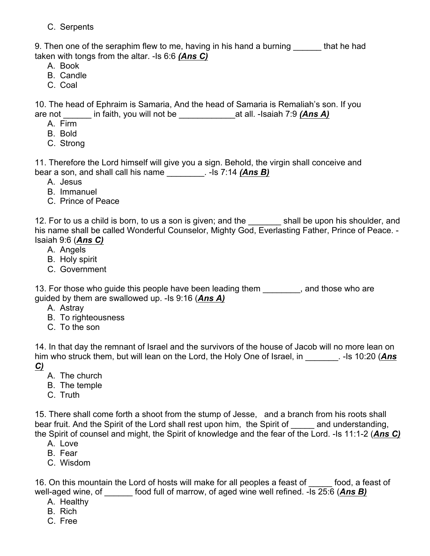C. Serpents

9. Then one of the seraphim flew to me, having in his hand a burning that he had taken with tongs from the altar. -Is 6:6 *(Ans C)*

- A. Book
- B. Candle
- C. Coal

10. The head of Ephraim is Samaria, And the head of Samaria is Remaliah's son. If you are not \_\_\_\_\_\_ in faith, you will not be \_\_\_\_\_\_\_\_\_\_\_\_at all. -Isaiah 7:9 *(Ans A)*

- A. Firm
- B. Bold
- C. Strong

11. Therefore the Lord himself will give you a sign. Behold, the virgin shall conceive and bear a son, and shall call his name \_\_\_\_\_\_\_\_. -Is 7:14 *(Ans B)*

- A. Jesus
- B. Immanuel
- C. Prince of Peace

12. For to us a child is born, to us a son is given; and the \_\_\_\_\_\_\_\_ shall be upon his shoulder, and his name shall be called Wonderful Counselor, Mighty God, Everlasting Father, Prince of Peace. - Isaiah 9:6 (*Ans C)*

- A. Angels
- B. Holy spirit
- C. Government

13. For those who guide this people have been leading them \_\_\_\_\_\_\_\_, and those who are guided by them are swallowed up. -Is 9:16 (*Ans A)*

- A. Astray
- B. To righteousness
- C. To the son

14. In that day the remnant of Israel and the survivors of the house of Jacob will no more lean on him who struck them, but will lean on the Lord, the Holy One of Israel, in Fig. 10:20 (Ans *C)*

- A. The church
- B. The temple
- C. Truth

15. There shall come forth a shoot from the stump of Jesse, and a branch from his roots shall bear fruit. And the Spirit of the Lord shall rest upon him, the Spirit of The and understanding, the Spirit of counsel and might, the Spirit of knowledge and the fear of the Lord. -Is 11:1-2 (*Ans C)*

- A. Love
- B. Fear
- C. Wisdom

16. On this mountain the Lord of hosts will make for all peoples a feast of \_\_\_\_\_ food, a feast of well-aged wine, of **come food full of marrow, of aged wine well refined. -Is 25:6 (Ans B)** 

- A. Healthy
- B. Rich
- C. Free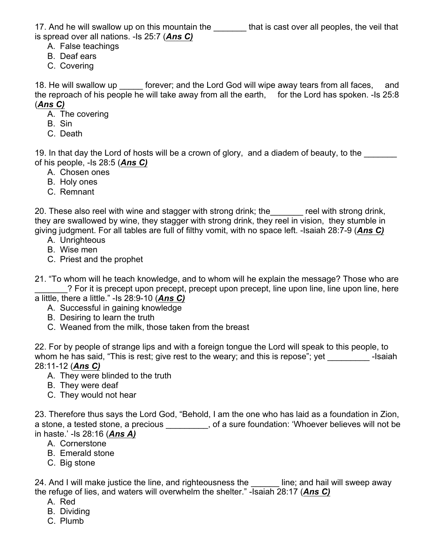17. And he will swallow up on this mountain the **the state of that** is cast over all peoples, the veil that is spread over all nations. -Is 25:7 (*Ans C)*

- A. False teachings
- B. Deaf ears
- C. Covering

18. He will swallow up forever; and the Lord God will wipe away tears from all faces, and the reproach of his people he will take away from all the earth, for the Lord has spoken. -Is 25:8 (*Ans C)*

- A. The covering
- B. Sin
- C. Death

19. In that day the Lord of hosts will be a crown of glory, and a diadem of beauty, to the of his people, -Is 28:5 (*Ans C)*

- A. Chosen ones
- B. Holy ones
- C. Remnant

20. These also reel with wine and stagger with strong drink; the reel with strong drink, they are swallowed by wine, they stagger with strong drink, they reel in vision, they stumble in giving judgment. For all tables are full of filthy vomit, with no space left. -Isaiah 28:7-9 (*Ans C)*

- A. Unrighteous
- B. Wise men
- C. Priest and the prophet

21. "To whom will he teach knowledge, and to whom will he explain the message? Those who are ? For it is precept upon precept, precept upon precept, line upon line, line upon line, here

- a little, there a little." -Is 28:9-10 (*Ans C)*
	- A. Successful in gaining knowledge
	- B. Desiring to learn the truth
	- C. Weaned from the milk, those taken from the breast

22. For by people of strange lips and with a foreign tongue the Lord will speak to this people, to whom he has said, "This is rest; give rest to the weary; and this is repose"; yet ---------------------------28:11-12 (*Ans C)*

- A. They were blinded to the truth
- B. They were deaf
- C. They would not hear

23. Therefore thus says the Lord God, "Behold, I am the one who has laid as a foundation in Zion, a stone, a tested stone, a precious \_\_\_\_\_\_\_\_, of a sure foundation: 'Whoever believes will not be in haste.' -Is 28:16 (*Ans A)*

- A. Cornerstone
- B. Emerald stone
- C. Big stone

24. And I will make justice the line, and righteousness the \_\_\_\_\_\_ line; and hail will sweep away the refuge of lies, and waters will overwhelm the shelter." -Isaiah 28:17 (*Ans C)*

- A. Red
- B. Dividing
- C. Plumb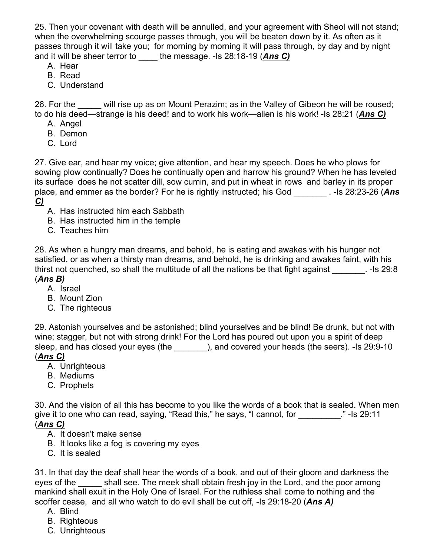25. Then your covenant with death will be annulled, and your agreement with Sheol will not stand; when the overwhelming scourge passes through, you will be beaten down by it. As often as it passes through it will take you; for morning by morning it will pass through, by day and by night and it will be sheer terror to \_\_\_\_ the message. -Is 28:18-19 (*Ans C)*

- A. Hear
- B. Read
- C. Understand

26. For the will rise up as on Mount Perazim; as in the Valley of Gibeon he will be roused; to do his deed—strange is his deed! and to work his work—alien is his work! -Is 28:21 (*Ans C)*

- A. Angel
- B. Demon
- C. Lord

27. Give ear, and hear my voice; give attention, and hear my speech. Does he who plows for sowing plow continually? Does he continually open and harrow his ground? When he has leveled its surface does he not scatter dill, sow cumin, and put in wheat in rows and barley in its proper place, and emmer as the border? For he is rightly instructed; his God \_\_\_\_\_\_\_ . -Is 28:23-26 (*Ans C)*

- A. Has instructed him each Sabbath
- B. Has instructed him in the temple
- C. Teaches him

28. As when a hungry man dreams, and behold, he is eating and awakes with his hunger not satisfied, or as when a thirsty man dreams, and behold, he is drinking and awakes faint, with his thirst not quenched, so shall the multitude of all the nations be that fight against **.** -Is 29:8 (*Ans B)*

- A. Israel
- B. Mount Zion
- C. The righteous

29. Astonish yourselves and be astonished; blind yourselves and be blind! Be drunk, but not with wine; stagger, but not with strong drink! For the Lord has poured out upon you a spirit of deep sleep, and has closed your eyes (the \_\_\_\_\_\_\_), and covered your heads (the seers). -Is 29:9-10 (*Ans C)*

- A. Unrighteous
- B. Mediums
- C. Prophets

30. And the vision of all this has become to you like the words of a book that is sealed. When men give it to one who can read, saying, "Read this," he says, "I cannot, for \_\_\_\_\_\_\_\_\_\_." -Is 29:11 (*Ans C)*

- A. It doesn't make sense
- B. It looks like a fog is covering my eyes
- C. It is sealed

31. In that day the deaf shall hear the words of a book, and out of their gloom and darkness the eyes of the shall see. The meek shall obtain fresh joy in the Lord, and the poor among mankind shall exult in the Holy One of Israel. For the ruthless shall come to nothing and the scoffer cease, and all who watch to do evil shall be cut off, -Is 29:18-20 (*Ans A)*

- A. Blind
- B. Righteous
- C. Unrighteous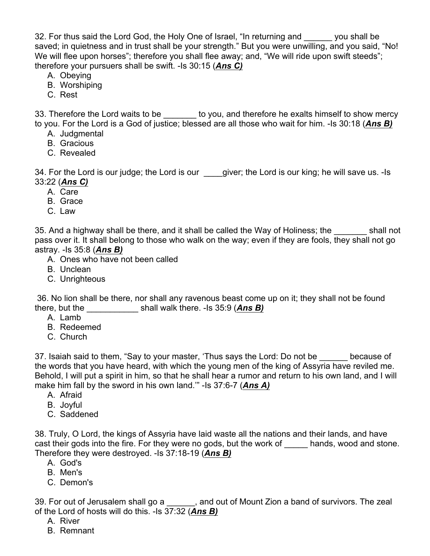32. For thus said the Lord God, the Holy One of Israel, "In returning and you shall be saved; in quietness and in trust shall be your strength." But you were unwilling, and you said, "No! We will flee upon horses"; therefore you shall flee away; and, "We will ride upon swift steeds"; therefore your pursuers shall be swift. -Is 30:15 (*Ans C)*

- A. Obeying
- B. Worshiping
- C. Rest

33. Therefore the Lord waits to be \_\_\_\_\_\_\_ to you, and therefore he exalts himself to show mercy to you. For the Lord is a God of justice; blessed are all those who wait for him. -Is 30:18 (*Ans B)*

- A. Judgmental
- B. Gracious
- C. Revealed

34. For the Lord is our judge; the Lord is our \_\_\_\_giver; the Lord is our king; he will save us. -Is 33:22 (*Ans C)*

- A. Care
- B. Grace
- C. Law

35. And a highway shall be there, and it shall be called the Way of Holiness; the shall not pass over it. It shall belong to those who walk on the way; even if they are fools, they shall not go astray. -Is 35:8 (*Ans B)*

- A. Ones who have not been called
- B. Unclean
- C. Unrighteous

36. No lion shall be there, nor shall any ravenous beast come up on it; they shall not be found there, but the \_\_\_\_\_\_\_\_\_\_\_ shall walk there. -Is 35:9 (*Ans B)*

- A. Lamb
- B. Redeemed
- C. Church

37. Isaiah said to them, "Say to your master, 'Thus says the Lord: Do not be because of the words that you have heard, with which the young men of the king of Assyria have reviled me. Behold, I will put a spirit in him, so that he shall hear a rumor and return to his own land, and I will make him fall by the sword in his own land.'" -Is 37:6-7 (*Ans A)*

- A. Afraid
- B. Joyful
- C. Saddened

38. Truly, O Lord, the kings of Assyria have laid waste all the nations and their lands, and have cast their gods into the fire. For they were no gods, but the work of hands, wood and stone. Therefore they were destroyed. -Is 37:18-19 (*Ans B)*

- A. God's
- B. Men's
- C. Demon's

39. For out of Jerusalem shall go a \_\_\_\_\_, and out of Mount Zion a band of survivors. The zeal of the Lord of hosts will do this. -Is 37:32 (*Ans B)*

- A. River
- B. Remnant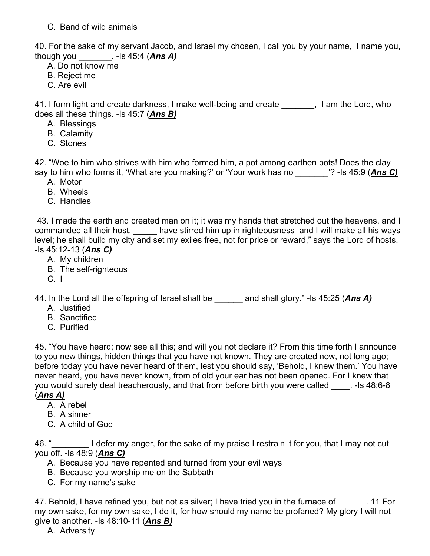C. Band of wild animals

40. For the sake of my servant Jacob, and Israel my chosen, I call you by your name, I name you, though you  $\qquad \qquad$  - Is 45:4 (*Ans A*)

- A. Do not know me
- B. Reject me
- C. Are evil

41. I form light and create darkness, I make well-being and create Theorg H am the Lord, who does all these things. -Is 45:7 (*Ans B)*

- A. Blessings
- B. Calamity
- C. Stones

42. "Woe to him who strives with him who formed him, a pot among earthen pots! Does the clay say to him who forms it, 'What are you making?' or 'Your work has no \_\_\_\_\_\_\_'? -Is 45:9 (*Ans C)*

- A. Motor
- B. Wheels
- C. Handles

43. I made the earth and created man on it; it was my hands that stretched out the heavens, and I commanded all their host. \_\_\_\_\_ have stirred him up in righteousness and I will make all his ways level; he shall build my city and set my exiles free, not for price or reward," says the Lord of hosts. -Is 45:12-13 (*Ans C)*

- A. My children
- B. The self-righteous
- $C.$  I

44. In the Lord all the offspring of Israel shall be and shall glory." -Is 45:25 (Ans A)

- A. Justified
- B. Sanctified
- C. Purified

45. "You have heard; now see all this; and will you not declare it? From this time forth I announce to you new things, hidden things that you have not known. They are created now, not long ago; before today you have never heard of them, lest you should say, 'Behold, I knew them.' You have never heard, you have never known, from of old your ear has not been opened. For I knew that you would surely deal treacherously, and that from before birth you were called \_\_\_\_. -Is 48:6-8 (*Ans A)*

- A. A rebel
- B. A sinner
- C. A child of God

46. "<br>I defer my anger, for the sake of my praise I restrain it for you, that I may not cut you off. -Is 48:9 (*Ans C)*

- A. Because you have repented and turned from your evil ways
- B. Because you worship me on the Sabbath
- C. For my name's sake

47. Behold, I have refined you, but not as silver; I have tried you in the furnace of  $\blacksquare$ . 11 For my own sake, for my own sake, I do it, for how should my name be profaned? My glory I will not give to another. -Is 48:10-11 (*Ans B)*

A. Adversity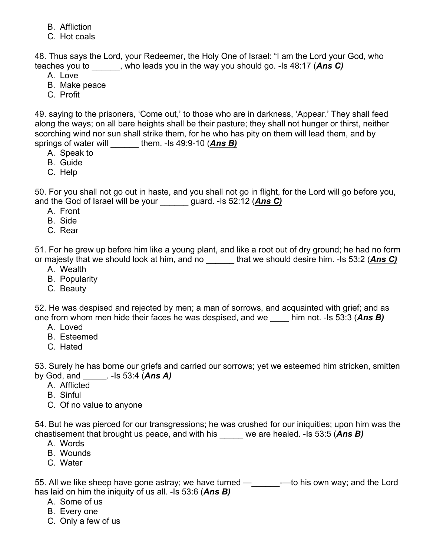- B. Affliction
- C. Hot coals

48. Thus says the Lord, your Redeemer, the Holy One of Israel: "I am the Lord your God, who teaches you to \_\_\_\_\_\_, who leads you in the way you should go. -Is 48:17 (*Ans C)*

- A. Love
- B. Make peace
- C. Profit

49. saying to the prisoners, 'Come out,' to those who are in darkness, 'Appear.' They shall feed along the ways; on all bare heights shall be their pasture; they shall not hunger or thirst, neither scorching wind nor sun shall strike them, for he who has pity on them will lead them, and by springs of water will them. -Is 49:9-10 (*Ans B*)

- A. Speak to
- B. Guide
- C. Help

50. For you shall not go out in haste, and you shall not go in flight, for the Lord will go before you, and the God of Israel will be your \_\_\_\_\_\_ guard. -Is 52:12 (*Ans C)*

- A. Front
- B. Side
- C. Rear

51. For he grew up before him like a young plant, and like a root out of dry ground; he had no form or majesty that we should look at him, and no \_\_\_\_\_\_ that we should desire him. -Is 53:2 (*Ans C)*

- A. Wealth
- B. Popularity
- C. Beauty

52. He was despised and rejected by men; a man of sorrows, and acquainted with grief; and as one from whom men hide their faces he was despised, and we \_\_\_\_ him not. -Is 53:3 (*Ans B)*

- A. Loved
- B. Esteemed
- C. Hated

53. Surely he has borne our griefs and carried our sorrows; yet we esteemed him stricken, smitten by God, and \_\_\_\_\_. -Is 53:4 (*Ans A)*

- A. Afflicted
- B. Sinful
- C. Of no value to anyone

54. But he was pierced for our transgressions; he was crushed for our iniquities; upon him was the chastisement that brought us peace, and with his \_\_\_\_\_ we are healed. -Is 53:5 (*Ans B)*

- A. Words
- B. Wounds
- C. Water

55. All we like sheep have gone astray; we have turned — saca-to his own way; and the Lord has laid on him the iniquity of us all. -Is 53:6 (*Ans B)*

- A. Some of us
- B. Every one
- C. Only a few of us